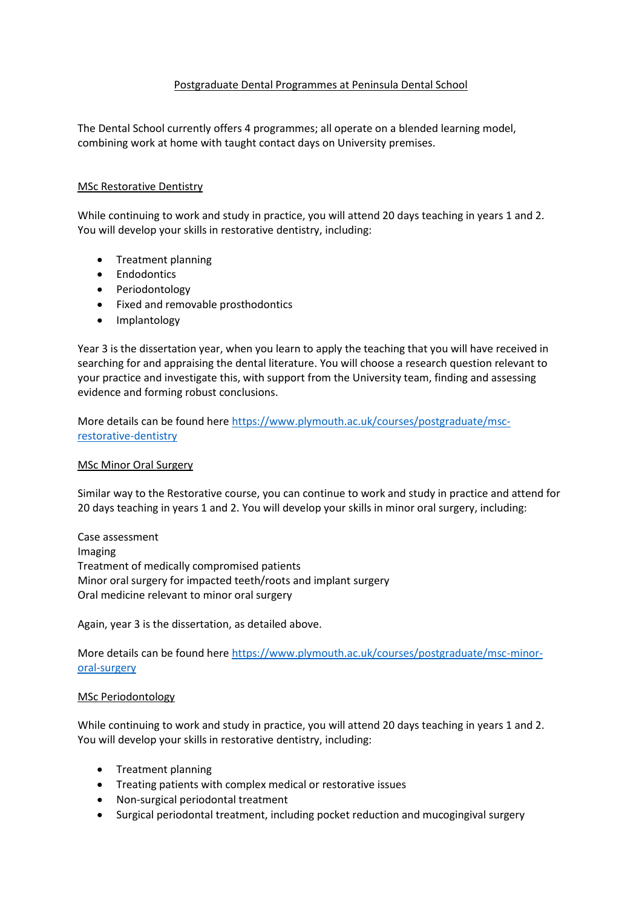### Postgraduate Dental Programmes at Peninsula Dental School

The Dental School currently offers 4 programmes; all operate on a blended learning model, combining work at home with taught contact days on University premises.

### MSc Restorative Dentistry

While continuing to work and study in practice, you will attend 20 days teaching in years 1 and 2. You will develop your skills in restorative dentistry, including:

- Treatment planning
- Endodontics
- Periodontology
- Fixed and removable prosthodontics
- Implantology

Year 3 is the dissertation year, when you learn to apply the teaching that you will have received in searching for and appraising the dental literature. You will choose a research question relevant to your practice and investigate this, with support from the University team, finding and assessing evidence and forming robust conclusions.

More details can be found here [https://www.plymouth.ac.uk/courses/postgraduate/msc](https://www.plymouth.ac.uk/courses/postgraduate/msc-restorative-dentistry)[restorative-dentistry](https://www.plymouth.ac.uk/courses/postgraduate/msc-restorative-dentistry)

#### MSc Minor Oral Surgery

Similar way to the Restorative course, you can continue to work and study in practice and attend for 20 days teaching in years 1 and 2. You will develop your skills in minor oral surgery, including:

Case assessment Imaging Treatment of medically compromised patients Minor oral surgery for impacted teeth/roots and implant surgery Oral medicine relevant to minor oral surgery

Again, year 3 is the dissertation, as detailed above.

More details can be found here [https://www.plymouth.ac.uk/courses/postgraduate/msc-minor](https://www.plymouth.ac.uk/courses/postgraduate/msc-minor-oral-surgery)[oral-surgery](https://www.plymouth.ac.uk/courses/postgraduate/msc-minor-oral-surgery)

#### MSc Periodontology

While continuing to work and study in practice, you will attend 20 days teaching in years 1 and 2. You will develop your skills in restorative dentistry, including:

- Treatment planning
- Treating patients with complex medical or restorative issues
- Non-surgical periodontal treatment
- Surgical periodontal treatment, including pocket reduction and mucogingival surgery